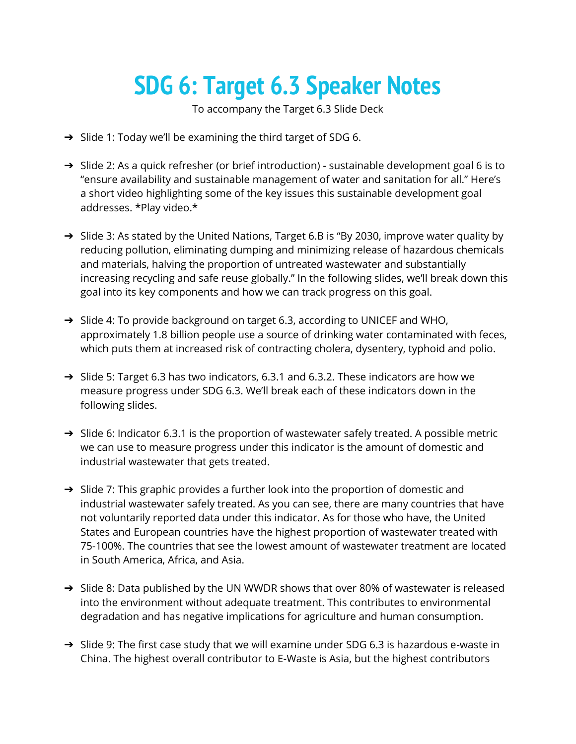## **SDG 6: Target 6.3 Speaker Notes**

To accompany the Target 6.3 Slide Deck

- ➔ Slide 1: Today we'll be examining the third target of SDG 6.
- ➔ Slide 2: As a quick refresher (or brief introduction) sustainable development goal 6 is to "ensure availability and sustainable management of water and sanitation for all." Here's a short video highlighting some of the key issues this sustainable development goal addresses. \*Play video.\*
- → Slide 3: As stated by the United Nations, Target 6.B is "By 2030, improve water quality by reducing pollution, eliminating dumping and minimizing release of hazardous chemicals and materials, halving the proportion of untreated wastewater and substantially increasing recycling and safe reuse globally." In the following slides, we'll break down this goal into its key components and how we can track progress on this goal.
- ➔ Slide 4: To provide background on target 6.3, according to UNICEF and WHO, approximately 1.8 billion people use a source of drinking water contaminated with feces, which puts them at increased risk of contracting cholera, dysentery, typhoid and polio.
- ➔ Slide 5: Target 6.3 has two indicators, 6.3.1 and 6.3.2. These indicators are how we measure progress under SDG 6.3. We'll break each of these indicators down in the following slides.
- → Slide 6: Indicator 6.3.1 is the proportion of wastewater safely treated. A possible metric we can use to measure progress under this indicator is the amount of domestic and industrial wastewater that gets treated.
- → Slide 7: This graphic provides a further look into the proportion of domestic and industrial wastewater safely treated. As you can see, there are many countries that have not voluntarily reported data under this indicator. As for those who have, the United States and European countries have the highest proportion of wastewater treated with 75-100%. The countries that see the lowest amount of wastewater treatment are located in South America, Africa, and Asia.
- $\rightarrow$  Slide 8: Data published by the UN WWDR shows that over 80% of wastewater is released into the environment without adequate treatment. This contributes to environmental degradation and has negative implications for agriculture and human consumption.
- → Slide 9: The first case study that we will examine under SDG 6.3 is hazardous e-waste in China. The highest overall contributor to E-Waste is Asia, but the highest contributors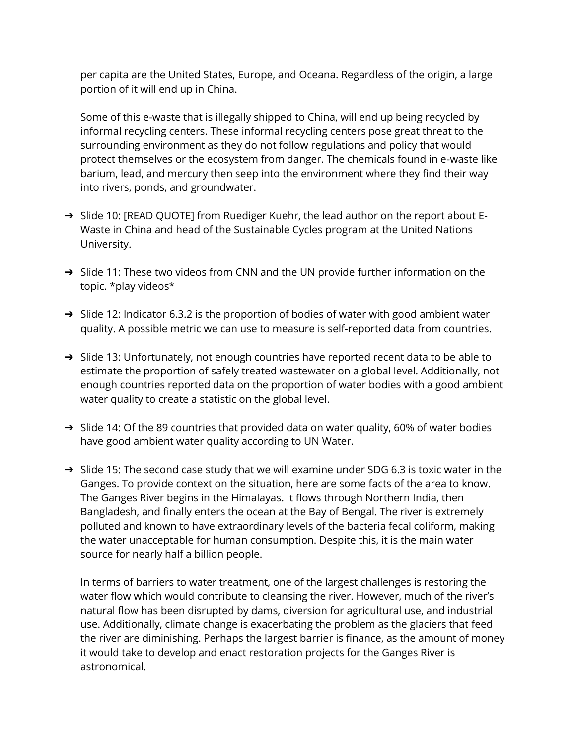per capita are the United States, Europe, and Oceana. Regardless of the origin, a large portion of it will end up in China.

Some of this e-waste that is illegally shipped to China, will end up being recycled by informal recycling centers. These informal recycling centers pose great threat to the surrounding environment as they do not follow regulations and policy that would protect themselves or the ecosystem from danger. The chemicals found in e-waste like barium, lead, and mercury then seep into the environment where they find their way into rivers, ponds, and groundwater.

- → Slide 10: [READ QUOTE] from [Ruediger Kuehr,](https://unu.edu/experts/ruediger-kuehr.html#profile) the lead author on the report about E-Waste in China and head of the [Sustainable Cycles](https://ehs.unu.edu/vice-rectorate/sustainable-cycles-scycle#overview) program at the United Nations University.
- $\rightarrow$  Slide 11: These two videos from CNN and the UN provide further information on the topic. \*play videos\*
- ➔ Slide 12: Indicator 6.3.2 is the proportion of bodies of water with good ambient water quality. A possible metric we can use to measure is self-reported data from countries.
- ➔ Slide 13: Unfortunately, not enough countries have reported recent data to be able to estimate the proportion of safely treated wastewater on a global level. Additionally, not enough countries reported data on the proportion of water bodies with a good ambient water quality to create a statistic on the global level.
- → Slide 14: Of the 89 countries that provided data on water quality, 60% of water bodies have good ambient water quality according to UN Water.
- → Slide 15: The second case study that we will examine under SDG 6.3 is toxic water in the Ganges. To provide context on the situation, here are some facts of the area to know. The Ganges River begins in the Himalayas. It flows through Northern India, then Bangladesh, and finally enters the ocean at the Bay of Bengal. The river is extremely polluted and known to have extraordinary levels of the bacteria fecal coliform, making the water unacceptable for human consumption. Despite this, it is the main water source for nearly half a billion people.

In terms of barriers to water treatment, one of the largest challenges is restoring the water flow which would contribute to cleansing the river. However, much of the river's natural flow has been disrupted by dams, diversion for agricultural use, and industrial use. Additionally, climate change is exacerbating the problem as the glaciers that feed the river are diminishing. Perhaps the largest barrier is finance, as the amount of money it would take to develop and enact restoration projects for the Ganges River is astronomical.